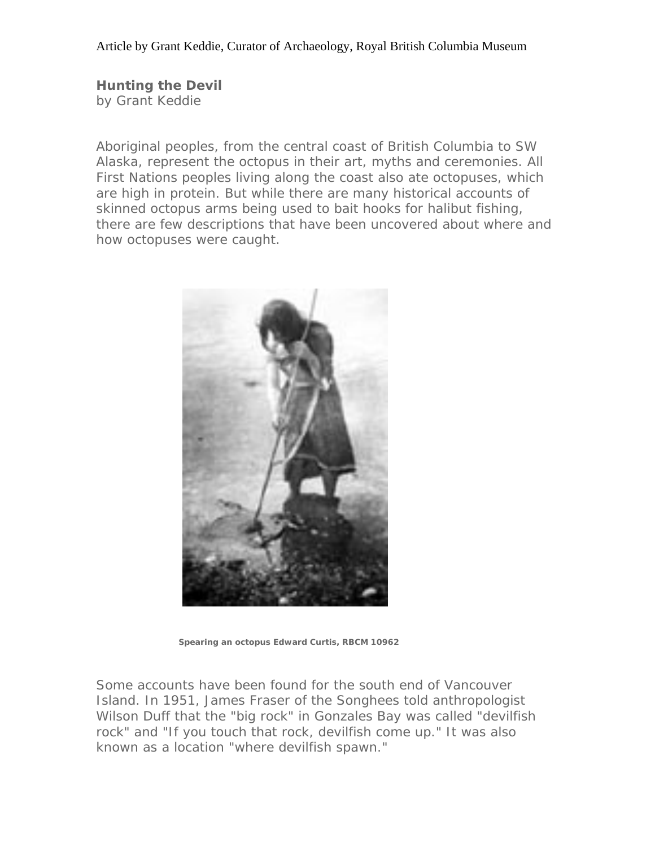**Hunting the Devil** by Grant Keddie

Aboriginal peoples, from the central coast of British Columbia to SW Alaska, represent the octopus in their art, myths and ceremonies. All First Nations peoples living along the coast also ate octopuses, which are high in protein. But while there are many historical accounts of skinned octopus arms being used to bait hooks for halibut fishing, there are few descriptions that have been uncovered about where and how octopuses were caught.



 **Spearing an octopus Edward Curtis, RBCM 10962**

Some accounts have been found for the south end of Vancouver Island. In 1951, James Fraser of the Songhees told anthropologist Wilson Duff that the "big rock" in Gonzales Bay was called "devilfish rock" and "If you touch that rock, devilfish come up." It was also known as a location "where devilfish spawn."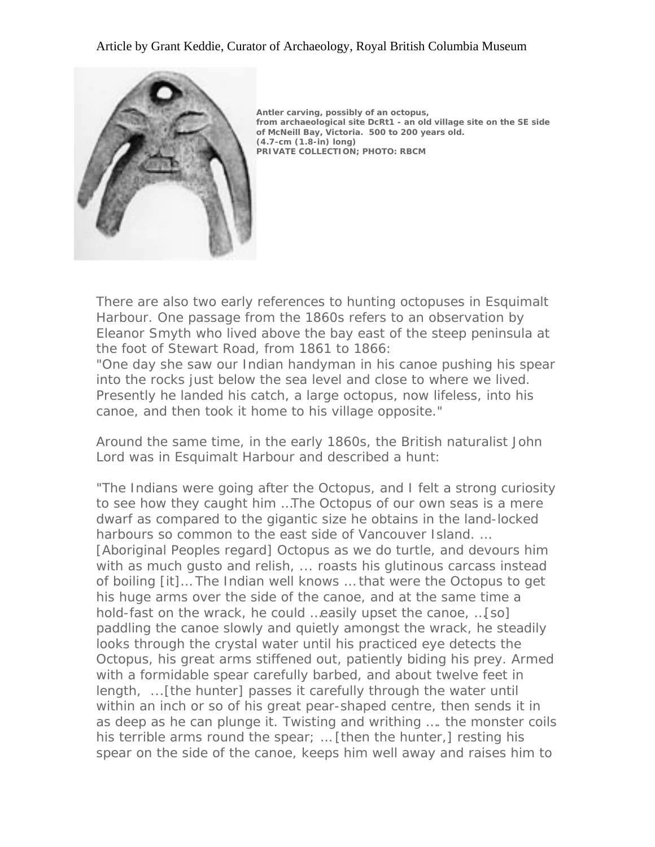### Article by Grant Keddie, Curator of Archaeology, Royal British Columbia Museum



**[A](http://www.royalbcmuseum.bc.ca/hhistory/graphics/antlers.jpg)ntler carving, possibly of an octopus, from archaeological site DcRt1 - an old village site on the SE side of McNeill Bay, Victoria. 500 to 200 years old. (4.7-cm (1.8-in) long) PRIVATE COLLECTION; PHOTO: RBCM**

[There are also two early references to hunting octopuses in Esquimalt](http://www.royalbcmuseum.bc.ca/hhistory/graphics/antlers.jpg)  [Harbour. One passage from the 1860s refers to an observation by](http://www.royalbcmuseum.bc.ca/hhistory/graphics/antlers.jpg)  [Eleanor Smyth who lived above the bay east of the steep peninsula at](http://www.royalbcmuseum.bc.ca/hhistory/graphics/antlers.jpg)  [the foot of Stewart Road, from 1861 to 1866:](http://www.royalbcmuseum.bc.ca/hhistory/graphics/antlers.jpg) 

"One day she saw our Indian handyman in his canoe pushing his spear into the rocks just below the sea level and close to where we lived. Presently he landed his catch, a large octopus, now lifeless, into his canoe, and then took it home to his village opposite."

Around the same time, in the early 1860s, the British naturalist John Lord was in Esquimalt Harbour and described a hunt:

"The Indians were going after the Octopus, and I felt a strong curiosity to see how they caught him …The Octopus of our own seas is a mere dwarf as compared to the gigantic size he obtains in the land-locked harbours so common to the east side of Vancouver Island. … [Aboriginal Peoples regard] Octopus as we do turtle, and devours him with as much gusto and relish, ... roasts his glutinous carcass instead of boiling [it]… The Indian well knows … that were the Octopus to get his huge arms over the side of the canoe, and at the same time a hold-fast on the wrack, he could …easily upset the canoe, …[so] paddling the canoe slowly and quietly amongst the wrack, he steadily looks through the crystal water until his practiced eye detects the Octopus, his great arms stiffened out, patiently biding his prey. Armed with a formidable spear carefully barbed, and about twelve feet in length, ...[the hunter] passes it carefully through the water until within an inch or so of his great pear-shaped centre, then sends it in as deep as he can plunge it. Twisting and writhing …. the monster coils his terrible arms round the spear; … [then the hunter,] resting his spear on the side of the canoe, keeps him well away and raises him to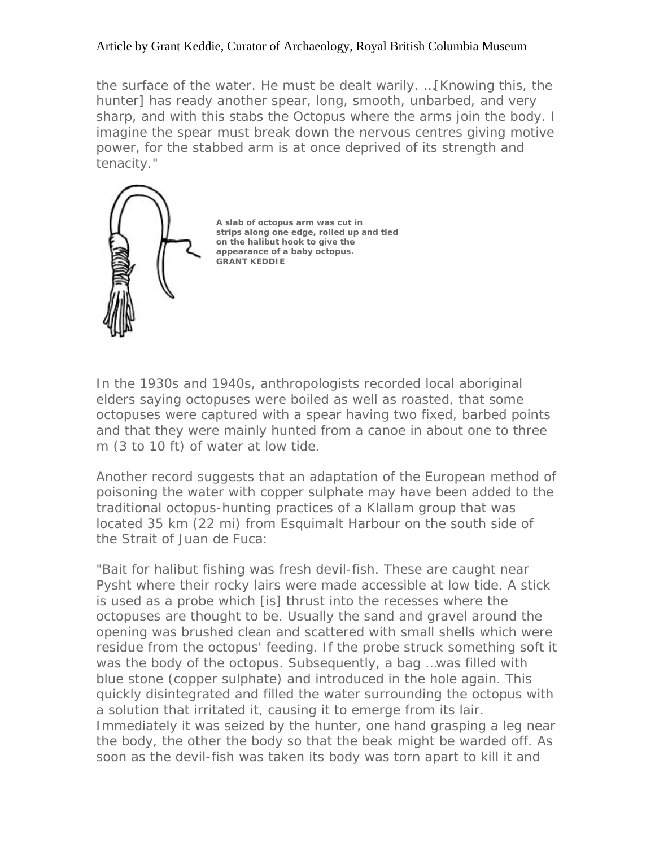### Article by Grant Keddie, Curator of Archaeology, Royal British Columbia Museum

the surface of the water. He must be dealt warily. …[Knowing this, the hunter] has ready another spear, long, smooth, unbarbed, and very sharp, and with this stabs the Octopus where the arms join the body. I imagine the spear must break down the nervous centres giving motive power, for the stabbed arm is at once deprived of its strength and tenacity."



 **A slab of octopus arm was cut in strips along one edge, rolled up and tied on the halibut hook to give the appearance of a baby octopus. GRANT KEDDIE**

In the 1930s and 1940s, anthropologists recorded local aboriginal elders saying octopuses were boiled as well as roasted, that some octopuses were captured with a spear having two fixed, barbed points and that they were mainly hunted from a canoe in about one to three m (3 to 10 ft) of water at low tide.

Another record suggests that an adaptation of the European method of poisoning the water with copper sulphate may have been added to the traditional octopus-hunting practices of a Klallam group that was located 35 km (22 mi) from Esquimalt Harbour on the south side of the Strait of Juan de Fuca:

"Bait for halibut fishing was fresh devil-fish. These are caught near Pysht where their rocky lairs were made accessible at low tide. A stick is used as a probe which [is] thrust into the recesses where the octopuses are thought to be. Usually the sand and gravel around the opening was brushed clean and scattered with small shells which were residue from the octopus' feeding. If the probe struck something soft it was the body of the octopus. Subsequently, a bag …was filled with blue stone (copper sulphate) and introduced in the hole again. This quickly disintegrated and filled the water surrounding the octopus with a solution that irritated it, causing it to emerge from its lair. Immediately it was seized by the hunter, one hand grasping a leg near the body, the other the body so that the beak might be warded off. As soon as the devil-fish was taken its body was torn apart to kill it and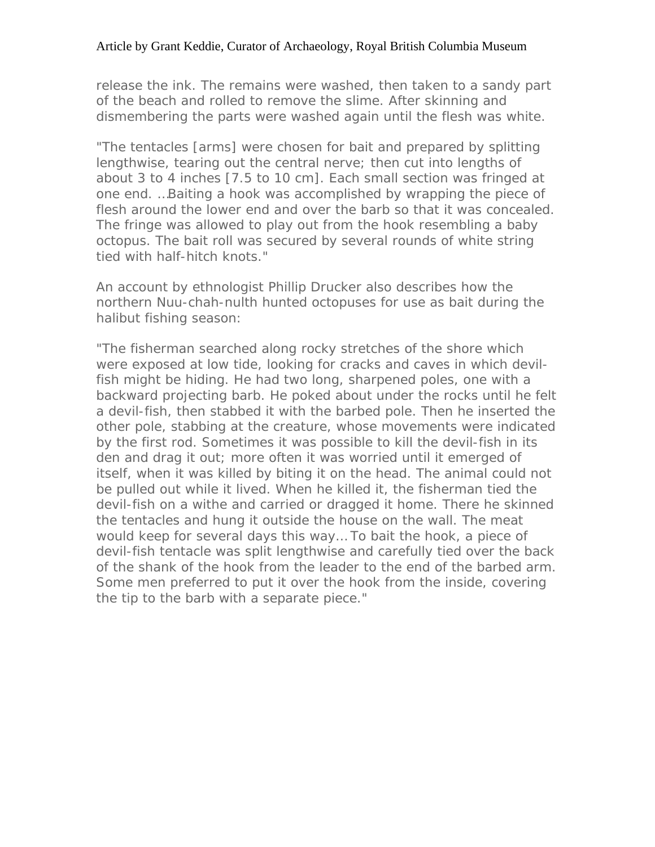### Article by Grant Keddie, Curator of Archaeology, Royal British Columbia Museum

release the ink. The remains were washed, then taken to a sandy part of the beach and rolled to remove the slime. After skinning and dismembering the parts were washed again until the flesh was white.

"The tentacles [arms] were chosen for bait and prepared by splitting lengthwise, tearing out the central nerve; then cut into lengths of about 3 to 4 inches [7.5 to 10 cm]. Each small section was fringed at one end. …Baiting a hook was accomplished by wrapping the piece of flesh around the lower end and over the barb so that it was concealed. The fringe was allowed to play out from the hook resembling a baby octopus. The bait roll was secured by several rounds of white string tied with half-hitch knots."

An account by ethnologist Phillip Drucker also describes how the northern Nuu-chah-nulth hunted octopuses for use as bait during the halibut fishing season:

"The fisherman searched along rocky stretches of the shore which were exposed at low tide, looking for cracks and caves in which devilfish might be hiding. He had two long, sharpened poles, one with a backward projecting barb. He poked about under the rocks until he felt a devil-fish, then stabbed it with the barbed pole. Then he inserted the other pole, stabbing at the creature, whose movements were indicated by the first rod. Sometimes it was possible to kill the devil-fish in its den and drag it out; more often it was worried until it emerged of itself, when it was killed by biting it on the head. The animal could not be pulled out while it lived. When he killed it, the fisherman tied the devil-fish on a withe and carried or dragged it home. There he skinned the tentacles and hung it outside the house on the wall. The meat would keep for several days this way… To bait the hook, a piece of devil-fish tentacle was split lengthwise and carefully tied over the back of the shank of the hook from the leader to the end of the barbed arm. Some men preferred to put it over the hook from the inside, covering the tip to the barb with a separate piece."